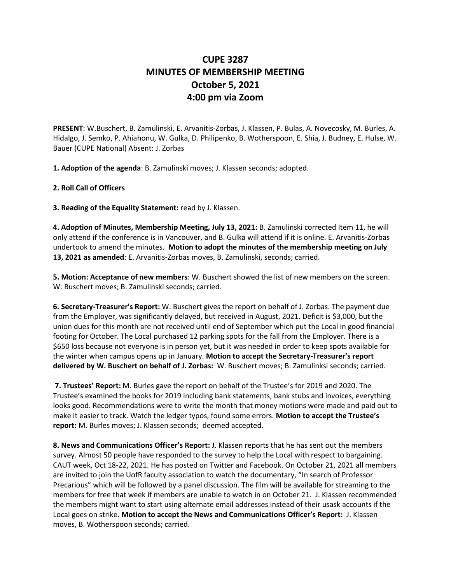## **CUPE 3287 MINUTES OF MEMBERSHIP MEETING October 5, 2021 4:00 pm via Zoom**

**PRESENT**: W.Buschert, B. Zamulinski, E. Arvanitis-Zorbas, J. Klassen, P. Bulas, A. Novecosky, M. Burles, A. Hidalgo, J. Semko, P. Ahiahonu, W. Gulka, D. Philipenko, B. Wotherspoon, E. Shia, J. Budney, E. Hulse, W. Bauer (CUPE National) Absent: J. Zorbas

**1. Adoption of the agenda**: B. Zamulinski moves; J. Klassen seconds; adopted.

## **2. Roll Call of Officers**

**3. Reading of the Equality Statement:** read by J. Klassen.

**4. Adoption of Minutes, Membership Meeting, July 13, 2021:** B. Zamulinski corrected Item 11, he will only attend if the conference is in Vancouver, and B. Gulka will attend if it is online. E. Arvanitis-Zorbas undertook to amend the minutes. **Motion to adopt the minutes of the membership meeting on July 13, 2021 as amended**: E. Arvanitis-Zorbas moves, B. Zamulinski, seconds; carried.

**5. Motion: Acceptance of new members**: W. Buschert showed the list of new members on the screen. W. Buschert moves; B. Zamulinski seconds; carried.

**6. Secretary-Treasurer's Report:** W. Buschert gives the report on behalf of J. Zorbas. The payment due from the Employer, was significantly delayed, but received in August, 2021. Deficit is \$3,000, but the union dues for this month are not received until end of September which put the Local in good financial footing for October. The Local purchased 12 parking spots for the fall from the Employer. There is a \$650 loss because not everyone is in person yet, but it was needed in order to keep spots available for the winter when campus opens up in January. **Motion to accept the Secretary-Treasurer's report delivered by W. Buschert on behalf of J. Zorbas:** W. Buschert moves; B. Zamulinksi seconds; carried.

**7. Trustees' Report:** M. Burles gave the report on behalf of the Trustee's for 2019 and 2020. The Trustee's examined the books for 2019 including bank statements, bank stubs and invoices, everything looks good. Recommendations were to write the month that money motions were made and paid out to make it easier to track. Watch the ledger typos, found some errors. **Motion to accept the Trustee's report:** M. Burles moves; J. Klassen seconds; deemed accepted.

**8. News and Communications Officer's Report:** J. Klassen reports that he has sent out the members survey. Almost 50 people have responded to the survey to help the Local with respect to bargaining. CAUT week, Oct 18-22, 2021. He has posted on Twitter and Facebook. On October 21, 2021 all members are invited to join the UofR faculty association to watch the documentary, "In search of Professor Precarious" which will be followed by a panel discussion. The film will be available for streaming to the members for free that week if members are unable to watch in on October 21. J. Klassen recommended the members might want to start using alternate email addresses instead of their usask accounts if the Local goes on strike. **Motion to accept the News and Communications Officer's Report:** J. Klassen moves, B. Wotherspoon seconds; carried.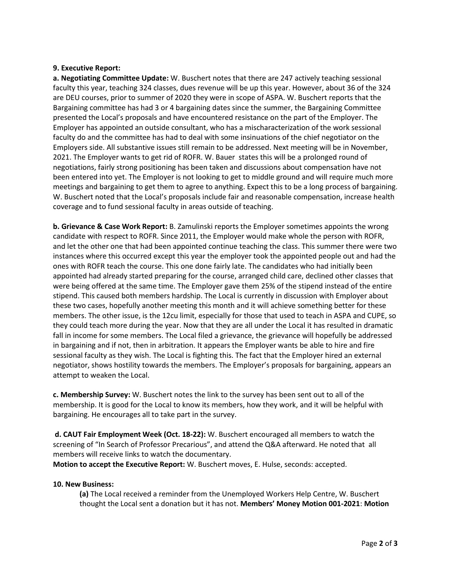## **9. Executive Report:**

**a. Negotiating Committee Update:** W. Buschert notes that there are 247 actively teaching sessional faculty this year, teaching 324 classes, dues revenue will be up this year. However, about 36 of the 324 are DEU courses, prior to summer of 2020 they were in scope of ASPA. W. Buschert reports that the Bargaining committee has had 3 or 4 bargaining dates since the summer, the Bargaining Committee presented the Local's proposals and have encountered resistance on the part of the Employer. The Employer has appointed an outside consultant, who has a mischaracterization of the work sessional faculty do and the committee has had to deal with some insinuations of the chief negotiator on the Employers side. All substantive issues still remain to be addressed. Next meeting will be in November, 2021. The Employer wants to get rid of ROFR. W. Bauer states this will be a prolonged round of negotiations, fairly strong positioning has been taken and discussions about compensation have not been entered into yet. The Employer is not looking to get to middle ground and will require much more meetings and bargaining to get them to agree to anything. Expect this to be a long process of bargaining. W. Buschert noted that the Local's proposals include fair and reasonable compensation, increase health coverage and to fund sessional faculty in areas outside of teaching.

**b. Grievance & Case Work Report:** B. Zamulinski reports the Employer sometimes appoints the wrong candidate with respect to ROFR. Since 2011, the Employer would make whole the person with ROFR, and let the other one that had been appointed continue teaching the class. This summer there were two instances where this occurred except this year the employer took the appointed people out and had the ones with ROFR teach the course. This one done fairly late. The candidates who had initially been appointed had already started preparing for the course, arranged child care, declined other classes that were being offered at the same time. The Employer gave them 25% of the stipend instead of the entire stipend. This caused both members hardship. The Local is currently in discussion with Employer about these two cases, hopefully another meeting this month and it will achieve something better for these members. The other issue, is the 12cu limit, especially for those that used to teach in ASPA and CUPE, so they could teach more during the year. Now that they are all under the Local it has resulted in dramatic fall in income for some members. The Local filed a grievance, the grievance will hopefully be addressed in bargaining and if not, then in arbitration. It appears the Employer wants be able to hire and fire sessional faculty as they wish. The Local is fighting this. The fact that the Employer hired an external negotiator, shows hostility towards the members. The Employer's proposals for bargaining, appears an attempt to weaken the Local.

**c. Membership Survey:** W. Buschert notes the link to the survey has been sent out to all of the membership. It is good for the Local to know its members, how they work, and it will be helpful with bargaining. He encourages all to take part in the survey.

**d. CAUT Fair Employment Week (Oct. 18-22):** W. Buschert encouraged all members to watch the screening of "In Search of Professor Precarious", and attend the Q&A afterward. He noted that all members will receive links to watch the documentary.

**Motion to accept the Executive Report:** W. Buschert moves, E. Hulse, seconds: accepted.

## **10. New Business:**

**(a)** The Local received a reminder from the Unemployed Workers Help Centre, W. Buschert thought the Local sent a donation but it has not. **Members' Money Motion 001-2021**: **Motion**